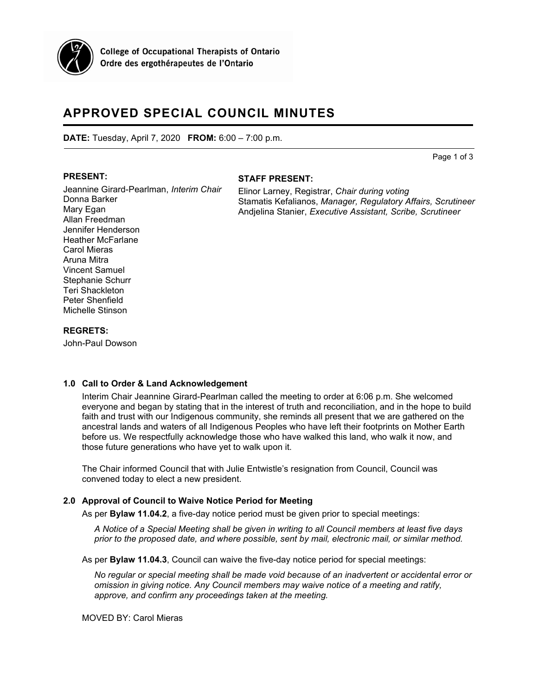

# **APPROVED SPECIAL COUNCIL MINUTES**

**DATE:** Tuesday, April 7, 2020 **FROM:** 6:00 – 7:00 p.m.

Page 1 of 3

## **PRESENT:**

## **STAFF PRESENT:**

Elinor Larney, Registrar, *Chair during voting*

Stamatis Kefalianos, *Manager, Regulatory Affairs, Scrutineer* Andjelina Stanier, *Executive Assistant, Scribe, Scrutineer*

Jeannine Girard-Pearlman, *Interim Chair* Donna Barker Mary Egan Allan Freedman Jennifer Henderson Heather McFarlane Carol Mieras Aruna Mitra Vincent Samuel Stephanie Schurr Teri Shackleton Peter Shenfield Michelle Stinson

## **REGRETS:**

John-Paul Dowson

## **1.0 Call to Order & Land Acknowledgement**

Interim Chair Jeannine Girard-Pearlman called the meeting to order at 6:06 p.m. She welcomed everyone and began by stating that in the interest of truth and reconciliation, and in the hope to build faith and trust with our Indigenous community, she reminds all present that we are gathered on the ancestral lands and waters of all Indigenous Peoples who have left their footprints on Mother Earth before us. We respectfully acknowledge those who have walked this land, who walk it now, and those future generations who have yet to walk upon it.

The Chair informed Council that with Julie Entwistle's resignation from Council, Council was convened today to elect a new president.

## **2.0 Approval of Council to Waive Notice Period for Meeting**

As per **Bylaw 11.04.2**, a five-day notice period must be given prior to special meetings:

*A Notice of a Special Meeting shall be given in writing to all Council members at least five days prior to the proposed date, and where possible, sent by mail, electronic mail, or similar method.* 

As per **Bylaw 11.04.3**, Council can waive the five-day notice period for special meetings:

*No regular or special meeting shall be made void because of an inadvertent or accidental error or omission in giving notice. Any Council members may waive notice of a meeting and ratify, approve, and confirm any proceedings taken at the meeting.*

MOVED BY: Carol Mieras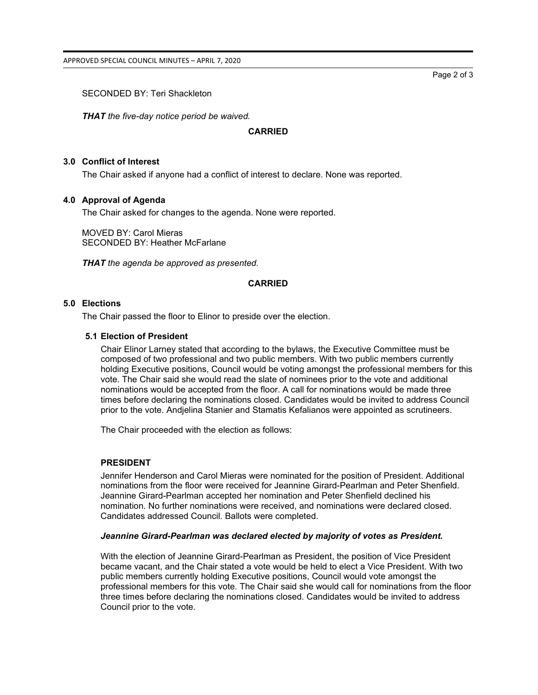SECONDED BY: Teri Shackleton

*THAT the five-day notice period be waived.*

#### **CARRIED**

#### **3.0 Conflict of Interest**

The Chair asked if anyone had a conflict of interest to declare. None was reported.

## **4.0 Approval of Agenda**

The Chair asked for changes to the agenda. None were reported.

MOVED BY: Carol Mieras SECONDED BY: Heather McFarlane

*THAT the agenda be approved as presented.*

#### **CARRIED**

## **5.0 Elections**

The Chair passed the floor to Elinor to preside over the election.

#### **5.1 Election of President**

Chair Elinor Larney stated that according to the bylaws, the Executive Committee must be composed of two professional and two public members. With two public members currently holding Executive positions, Council would be voting amongst the professional members for this vote. The Chair said she would read the slate of nominees prior to the vote and additional nominations would be accepted from the floor. A call for nominations would be made three times before declaring the nominations closed. Candidates would be invited to address Council prior to the vote. Andjelina Stanier and Stamatis Kefalianos were appointed as scrutineers.

The Chair proceeded with the election as follows:

## **PRESIDENT**

Jennifer Henderson and Carol Mieras were nominated for the position of President. Additional nominations from the floor were received for Jeannine Girard-Pearlman and Peter Shenfield. Jeannine Girard-Pearlman accepted her nomination and Peter Shenfield declined his nomination. No further nominations were received, and nominations were declared closed. Candidates addressed Council. Ballots were completed.

### *Jeannine Girard-Pearlman was declared elected by majority of votes as President.*

With the election of Jeannine Girard-Pearlman as President, the position of Vice President became vacant, and the Chair stated a vote would be held to elect a Vice President. With two public members currently holding Executive positions, Council would vote amongst the professional members for this vote. The Chair said she would call for nominations from the floor three times before declaring the nominations closed. Candidates would be invited to address Council prior to the vote.

Page 2 of 3